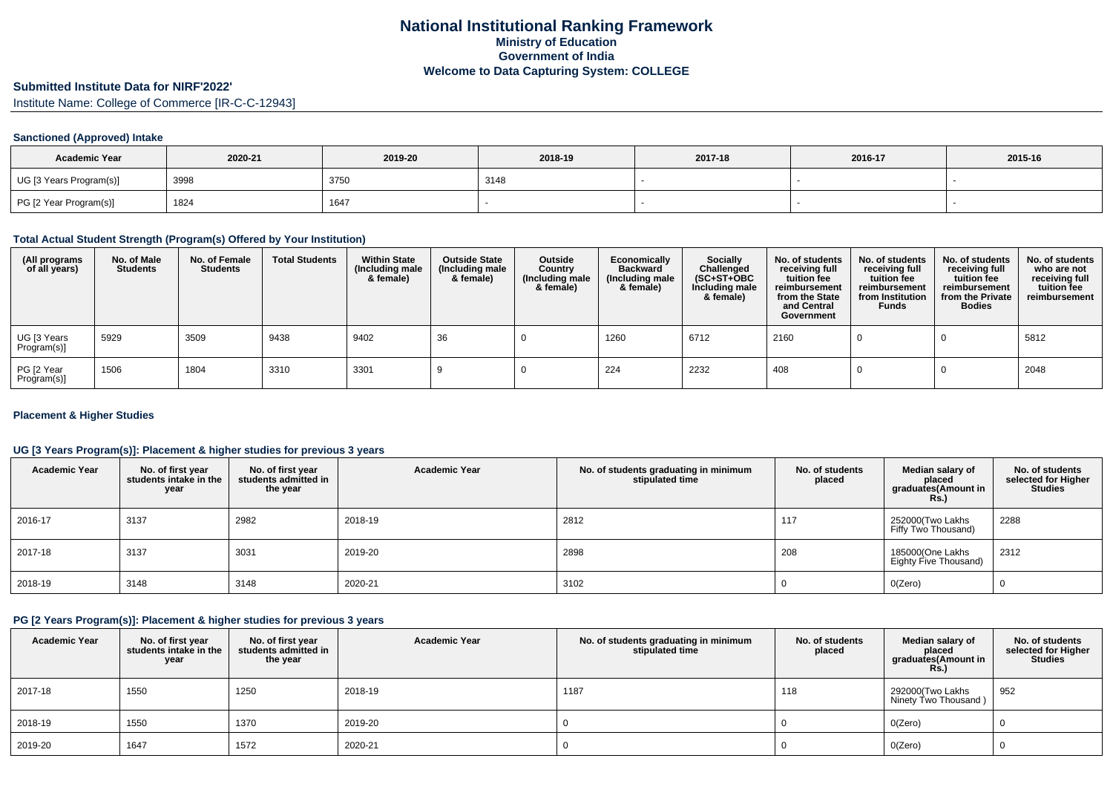# **Submitted Institute Data for NIRF'2022'**

Institute Name: College of Commerce [IR-C-C-12943]

#### **Sanctioned (Approved) Intake**

| <b>Academic Year</b>    | 2020-21 | 2019-20 | 2018-19 | 2017-18 | 2016-17 | 2015-16 |
|-------------------------|---------|---------|---------|---------|---------|---------|
| UG [3 Years Program(s)] | 3998    | 3750    | 3148    |         |         |         |
| PG [2 Year Program(s)]  | 1824    | 1647    |         |         |         |         |

# **Total Actual Student Strength (Program(s) Offered by Your Institution)**

| (All programs<br>of all years) | No. of Male<br><b>Students</b> | No. of Female<br><b>Students</b> | <b>Total Students</b> | <b>Within State</b><br>(Including male<br>& female) | <b>Outside State</b><br>(Including male<br>& female) | Outside<br>Country<br>(Including male<br>& female) | Economically<br><b>Backward</b><br>(Including male<br>& female) | <b>Socially</b><br>Challenged<br>$(SC+ST+OBC)$<br>Including male<br>& female) | No. of students<br>receiving full<br>tuition fee<br>reimbursement<br>from the State<br>and Central<br>Government | No. of students<br>receiving full<br>tuition fee<br>reimbursement<br>from Institution<br><b>Funds</b> | No. of students<br>receiving full<br>tuition fee<br>reimbursement<br>from the Private<br><b>Bodies</b> | No. of students<br>who are not<br>receiving full<br>tuition fee<br>reimbursement |
|--------------------------------|--------------------------------|----------------------------------|-----------------------|-----------------------------------------------------|------------------------------------------------------|----------------------------------------------------|-----------------------------------------------------------------|-------------------------------------------------------------------------------|------------------------------------------------------------------------------------------------------------------|-------------------------------------------------------------------------------------------------------|--------------------------------------------------------------------------------------------------------|----------------------------------------------------------------------------------|
| UG [3 Years<br>Program(s)]     | 5929                           | 3509                             | 9438                  | 9402                                                | 36                                                   |                                                    | 1260                                                            | 6712                                                                          | 2160                                                                                                             |                                                                                                       |                                                                                                        | 5812                                                                             |
| PG [2 Year<br>Program(s)]      | 1506                           | 1804                             | 3310                  | 3301                                                |                                                      |                                                    | 224                                                             | 2232                                                                          | 408                                                                                                              |                                                                                                       |                                                                                                        | 2048                                                                             |

#### **Placement & Higher Studies**

#### **UG [3 Years Program(s)]: Placement & higher studies for previous 3 years**

| <b>Academic Year</b> | No. of first year<br>students intake in the<br>year | No. of first vear<br>students admitted in<br>the year | <b>Academic Year</b> | No. of students graduating in minimum<br>stipulated time | No. of students<br>placed | Median salary of<br>placed<br>graduates(Amount in<br>Rs.) | No. of students<br>selected for Higher<br><b>Studies</b> |
|----------------------|-----------------------------------------------------|-------------------------------------------------------|----------------------|----------------------------------------------------------|---------------------------|-----------------------------------------------------------|----------------------------------------------------------|
| 2016-17              | 3137                                                | 2982                                                  | 2018-19              | 2812                                                     | 117                       | 252000(Two Lakhs<br>Fiffy Two Thousand)                   | 2288                                                     |
| 2017-18              | 3137                                                | 3031                                                  | 2019-20              | 2898                                                     | 208                       | 185000(One Lakhs<br>Eighty Five Thousand)                 | 2312                                                     |
| 2018-19              | 3148                                                | 3148                                                  | 2020-21              | 3102                                                     |                           | O(Zero)                                                   | 0                                                        |

### **PG [2 Years Program(s)]: Placement & higher studies for previous 3 years**

| <b>Academic Year</b> | No. of first year<br>students intake in the<br>year | No. of first year<br>students admitted in<br>the year | <b>Academic Year</b> | No. of students graduating in minimum<br>stipulated time | No. of students<br>placed | Median salary of<br>placed<br>graduates(Amount in<br><b>Rs.)</b> | No. of students<br>selected for Higher<br><b>Studies</b> |
|----------------------|-----------------------------------------------------|-------------------------------------------------------|----------------------|----------------------------------------------------------|---------------------------|------------------------------------------------------------------|----------------------------------------------------------|
| 2017-18              | 1550                                                | 1250                                                  | 2018-19              | 1187                                                     | 118                       | 292000(Two Lakhs<br>Ninety Two Thousand)                         | 952                                                      |
| 2018-19              | 1550                                                | 1370                                                  | 2019-20              |                                                          |                           | O(Zero)                                                          |                                                          |
| 2019-20              | 1647                                                | 1572                                                  | 2020-21              |                                                          |                           | O(Zero)                                                          |                                                          |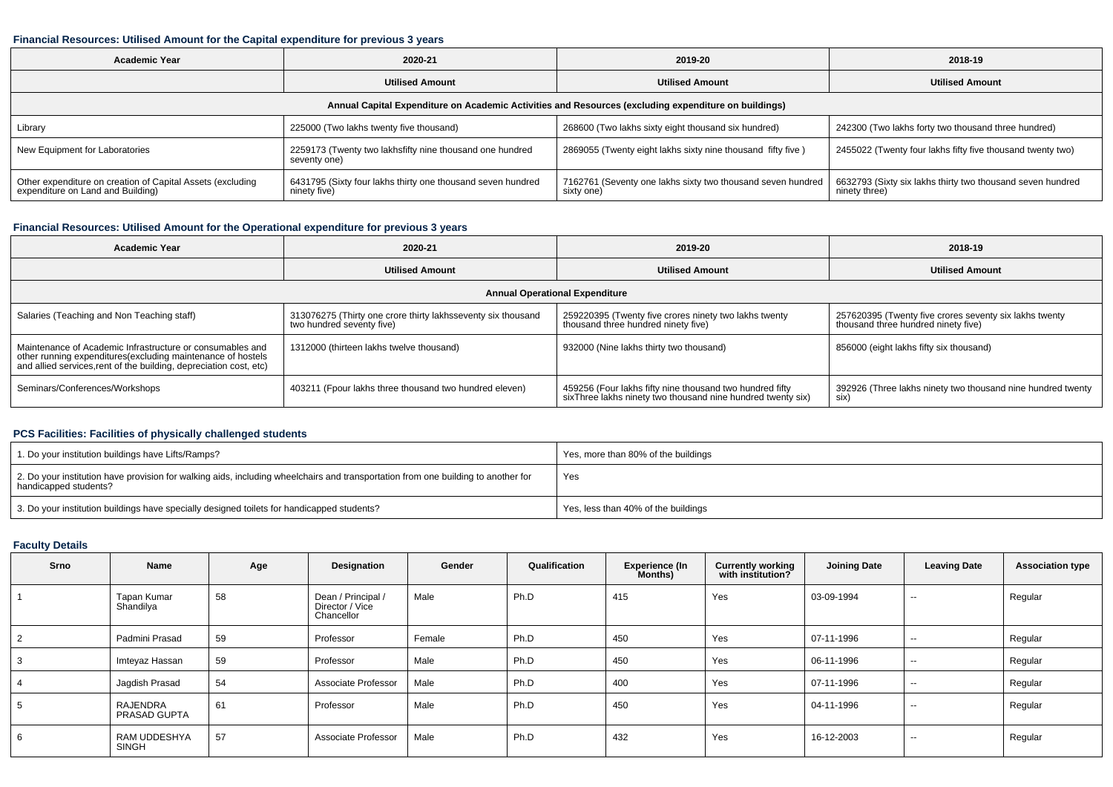#### **Financial Resources: Utilised Amount for the Capital expenditure for previous 3 years**

| Academic Year                                                                                   | 2020-21                                                                     | 2019-20                                                                                              | 2018-19                                                                     |  |  |
|-------------------------------------------------------------------------------------------------|-----------------------------------------------------------------------------|------------------------------------------------------------------------------------------------------|-----------------------------------------------------------------------------|--|--|
| <b>Utilised Amount</b>                                                                          |                                                                             | <b>Utilised Amount</b>                                                                               | <b>Utilised Amount</b>                                                      |  |  |
|                                                                                                 |                                                                             | Annual Capital Expenditure on Academic Activities and Resources (excluding expenditure on buildings) |                                                                             |  |  |
| Library                                                                                         | 225000 (Two lakhs twenty five thousand)                                     | 268600 (Two lakhs sixty eight thousand six hundred)                                                  | 242300 (Two lakhs forty two thousand three hundred)                         |  |  |
| New Equipment for Laboratories                                                                  | 2259173 (Twenty two lakhsfifty nine thousand one hundred<br>seventy one)    | 2869055 (Twenty eight lakhs sixty nine thousand fifty five)                                          | 2455022 (Twenty four lakhs fifty five thousand twenty two)                  |  |  |
| Other expenditure on creation of Capital Assets (excluding<br>expenditure on Land and Building) | 6431795 (Sixty four lakhs thirty one thousand seven hundred<br>ninety five) | 7162761 (Seventy one lakhs sixty two thousand seven hundred<br>sixty one)                            | 6632793 (Sixty six lakhs thirty two thousand seven hundred<br>ninety three) |  |  |

#### **Financial Resources: Utilised Amount for the Operational expenditure for previous 3 years**

| <b>Academic Year</b>                                                                                                                                                                            | 2020-21                                                                                   | 2019-20                                                                                                                 | 2018-19                                                                                       |
|-------------------------------------------------------------------------------------------------------------------------------------------------------------------------------------------------|-------------------------------------------------------------------------------------------|-------------------------------------------------------------------------------------------------------------------------|-----------------------------------------------------------------------------------------------|
|                                                                                                                                                                                                 | <b>Utilised Amount</b>                                                                    | <b>Utilised Amount</b>                                                                                                  | <b>Utilised Amount</b>                                                                        |
|                                                                                                                                                                                                 |                                                                                           | <b>Annual Operational Expenditure</b>                                                                                   |                                                                                               |
| Salaries (Teaching and Non Teaching staff)                                                                                                                                                      | 313076275 (Thirty one crore thirty lakhsseventy six thousand<br>two hundred seventy five) | 259220395 (Twenty five crores ninety two lakhs twenty<br>thousand three hundred ninety five)                            | 257620395 (Twenty five crores seventy six lakhs twenty<br>thousand three hundred ninety five) |
| Maintenance of Academic Infrastructure or consumables and<br>other running expenditures (excluding maintenance of hostels<br>and allied services, rent of the building, depreciation cost, etc) | 1312000 (thirteen lakhs twelve thousand)                                                  | 932000 (Nine lakhs thirty two thousand)                                                                                 | 856000 (eight lakhs fifty six thousand)                                                       |
| Seminars/Conferences/Workshops                                                                                                                                                                  | 403211 (Fpour lakhs three thousand two hundred eleven)                                    | 459256 (Four lakhs fifty nine thousand two hundred fifty<br>sixThree lakhs ninety two thousand nine hundred twenty six) | 392926 (Three lakhs ninety two thousand nine hundred twenty<br>six)                           |

## **PCS Facilities: Facilities of physically challenged students**

| 1. Do your institution buildings have Lifts/Ramps?                                                                                                         | Yes, more than 80% of the buildings |
|------------------------------------------------------------------------------------------------------------------------------------------------------------|-------------------------------------|
| 2. Do your institution have provision for walking aids, including wheelchairs and transportation from one building to another for<br>handicapped students? | Yes                                 |
| 3. Do your institution buildings have specially designed toilets for handicapped students?                                                                 | Yes, less than 40% of the buildings |

## **Faculty Details**

| <b>Srno</b>     | Name                         | Age | Designation                                         | Gender | Qualification | <b>Experience (In</b><br>Months) | <b>Currently working</b><br>with institution? | <b>Joining Date</b> | <b>Leaving Date</b>      | <b>Association type</b> |
|-----------------|------------------------------|-----|-----------------------------------------------------|--------|---------------|----------------------------------|-----------------------------------------------|---------------------|--------------------------|-------------------------|
|                 | Tapan Kumar<br>Shandilya     | 58  | Dean / Principal /<br>Director / Vice<br>Chancellor | Male   | Ph.D          | 415                              | Yes                                           | 03-09-1994          | $\overline{\phantom{a}}$ | Regular                 |
| 2               | Padmini Prasad               | 59  | Professor                                           | Female | Ph.D          | 450                              | Yes                                           | 07-11-1996          | $\sim$                   | Regular                 |
| 3               | Imteyaz Hassan               | 59  | Professor                                           | Male   | Ph.D          | 450                              | Yes                                           | 06-11-1996          | $\sim$                   | Regular                 |
| $\overline{4}$  | Jagdish Prasad               | 54  | Associate Professor                                 | Male   | Ph.D          | 400                              | Yes                                           | 07-11-1996          | $\sim$                   | Regular                 |
| $5\overline{5}$ | RAJENDRA<br>PRASAD GUPTA     | 61  | Professor                                           | Male   | Ph.D          | 450                              | Yes                                           | 04-11-1996          | $\sim$                   | Regular                 |
| 6               | RAM UDDESHYA<br><b>SINGH</b> | 57  | Associate Professor                                 | Male   | Ph.D          | 432                              | Yes                                           | 16-12-2003          | $\sim$                   | Regular                 |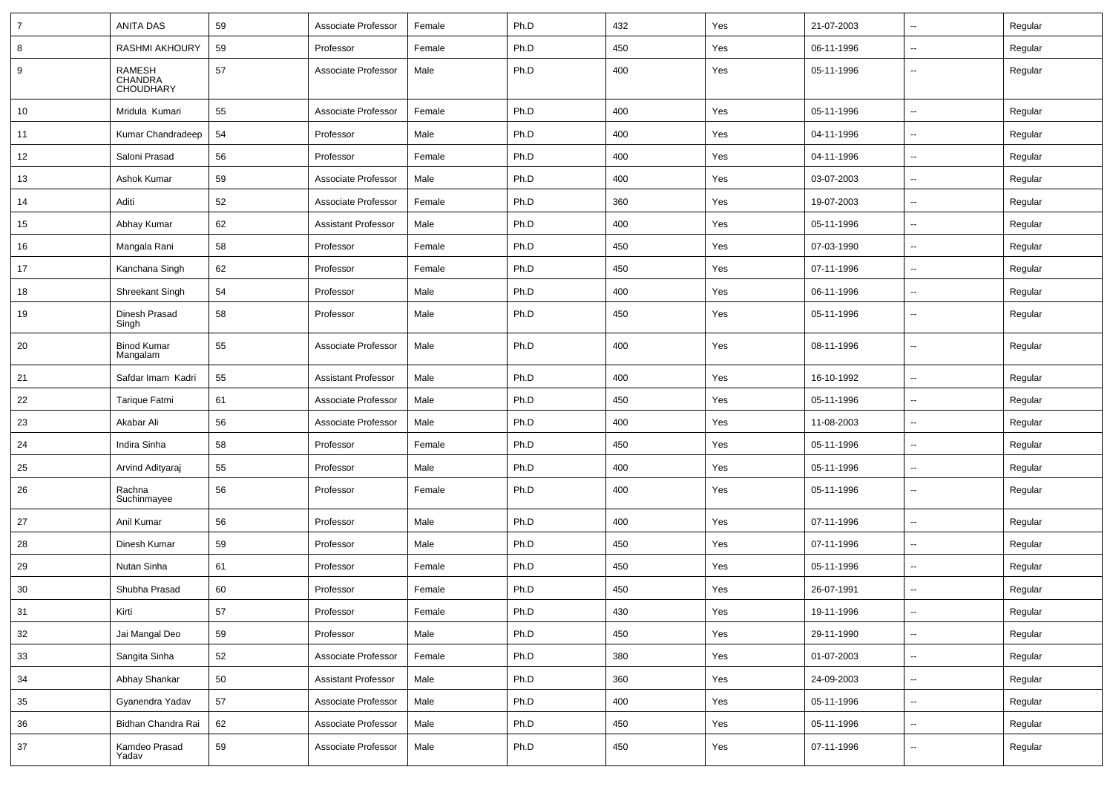| $\overline{7}$ | <b>ANITA DAS</b>                             | 59 | Associate Professor        | Female | Ph.D | 432 | Yes | 21-07-2003 | --                       | Regular |
|----------------|----------------------------------------------|----|----------------------------|--------|------|-----|-----|------------|--------------------------|---------|
| 8              | RASHMI AKHOURY                               | 59 | Professor                  | Female | Ph.D | 450 | Yes | 06-11-1996 | --                       | Regular |
| 9              | <b>RAMESH</b><br>CHANDRA<br><b>CHOUDHARY</b> | 57 | Associate Professor        | Male   | Ph.D | 400 | Yes | 05-11-1996 | ۰.                       | Regular |
| 10             | Mridula Kumari                               | 55 | Associate Professor        | Female | Ph.D | 400 | Yes | 05-11-1996 | --                       | Regular |
| 11             | Kumar Chandradeep                            | 54 | Professor                  | Male   | Ph.D | 400 | Yes | 04-11-1996 | $\overline{a}$           | Regular |
| 12             | Saloni Prasad                                | 56 | Professor                  | Female | Ph.D | 400 | Yes | 04-11-1996 | --                       | Regular |
| 13             | Ashok Kumar                                  | 59 | Associate Professor        | Male   | Ph.D | 400 | Yes | 03-07-2003 | --                       | Regular |
| 14             | Aditi                                        | 52 | Associate Professor        | Female | Ph.D | 360 | Yes | 19-07-2003 | $\overline{\phantom{a}}$ | Regular |
| 15             | Abhay Kumar                                  | 62 | <b>Assistant Professor</b> | Male   | Ph.D | 400 | Yes | 05-11-1996 | $\overline{\phantom{a}}$ | Regular |
| 16             | Mangala Rani                                 | 58 | Professor                  | Female | Ph.D | 450 | Yes | 07-03-1990 | --                       | Regular |
| 17             | Kanchana Singh                               | 62 | Professor                  | Female | Ph.D | 450 | Yes | 07-11-1996 | $\overline{a}$           | Regular |
| 18             | Shreekant Singh                              | 54 | Professor                  | Male   | Ph.D | 400 | Yes | 06-11-1996 | ۰.                       | Regular |
| 19             | Dinesh Prasad<br>Singh                       | 58 | Professor                  | Male   | Ph.D | 450 | Yes | 05-11-1996 | $\overline{\phantom{a}}$ | Regular |
| 20             | <b>Binod Kumar</b><br>Mangalam               | 55 | Associate Professor        | Male   | Ph.D | 400 | Yes | 08-11-1996 | $\overline{\phantom{a}}$ | Regular |
| 21             | Safdar Imam Kadri                            | 55 | Assistant Professor        | Male   | Ph.D | 400 | Yes | 16-10-1992 | --                       | Regular |
| 22             | <b>Tarique Fatmi</b>                         | 61 | Associate Professor        | Male   | Ph.D | 450 | Yes | 05-11-1996 | $\overline{\phantom{a}}$ | Regular |
| 23             | Akabar Ali                                   | 56 | Associate Professor        | Male   | Ph.D | 400 | Yes | 11-08-2003 | --                       | Regular |
| 24             | Indira Sinha                                 | 58 | Professor                  | Female | Ph.D | 450 | Yes | 05-11-1996 | --                       | Regular |
| 25             | Arvind Adityaraj                             | 55 | Professor                  | Male   | Ph.D | 400 | Yes | 05-11-1996 | $\overline{\phantom{a}}$ | Regular |
| 26             | Rachna<br>Suchinmayee                        | 56 | Professor                  | Female | Ph.D | 400 | Yes | 05-11-1996 | ۰.                       | Regular |
| 27             | Anil Kumar                                   | 56 | Professor                  | Male   | Ph.D | 400 | Yes | 07-11-1996 | --                       | Regular |
| 28             | Dinesh Kumar                                 | 59 | Professor                  | Male   | Ph.D | 450 | Yes | 07-11-1996 | $\overline{\phantom{a}}$ | Regular |
| 29             | Nutan Sinha                                  | 61 | Professor                  | Female | Ph.D | 450 | Yes | 05-11-1996 | $\overline{\phantom{a}}$ | Regular |
| 30             | Shubha Prasad                                | 60 | Professor                  | Female | Ph.D | 450 | Yes | 26-07-1991 | $\overline{\phantom{a}}$ | Regular |
| 31             | Kirti                                        | 57 | Professor                  | Female | Ph.D | 430 | Yes | 19-11-1996 | $\overline{\phantom{a}}$ | Regular |
| 32             | Jai Mangal Deo                               | 59 | Professor                  | Male   | Ph.D | 450 | Yes | 29-11-1990 | Ξ.                       | Regular |
| 33             | Sangita Sinha                                | 52 | Associate Professor        | Female | Ph.D | 380 | Yes | 01-07-2003 | ۰.                       | Regular |
| 34             | Abhay Shankar                                | 50 | <b>Assistant Professor</b> | Male   | Ph.D | 360 | Yes | 24-09-2003 | Щ,                       | Regular |
| 35             | Gyanendra Yadav                              | 57 | Associate Professor        | Male   | Ph.D | 400 | Yes | 05-11-1996 | Щ,                       | Regular |
| 36             | Bidhan Chandra Rai                           | 62 | Associate Professor        | Male   | Ph.D | 450 | Yes | 05-11-1996 | $\overline{\phantom{a}}$ | Regular |
| 37             | Kamdeo Prasad<br>Yadav                       | 59 | Associate Professor        | Male   | Ph.D | 450 | Yes | 07-11-1996 | --                       | Regular |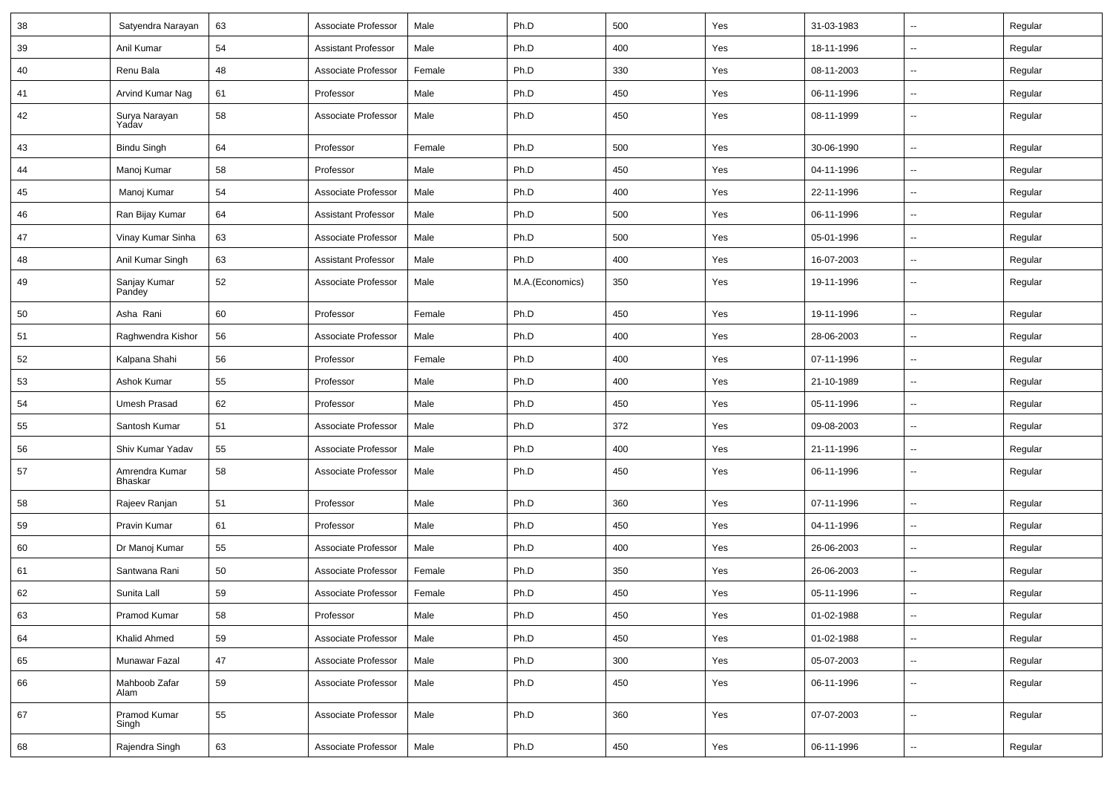| 38 | Satyendra Narayan                | 63 | Associate Professor        | Male   | Ph.D            | 500 | Yes | 31-03-1983 | $\overline{\phantom{a}}$ | Regular |
|----|----------------------------------|----|----------------------------|--------|-----------------|-----|-----|------------|--------------------------|---------|
| 39 | Anil Kumar                       | 54 | <b>Assistant Professor</b> | Male   | Ph.D            | 400 | Yes | 18-11-1996 | Ξ.                       | Regular |
| 40 | Renu Bala                        | 48 | Associate Professor        | Female | Ph.D            | 330 | Yes | 08-11-2003 |                          | Regular |
| 41 | Arvind Kumar Nag                 | 61 | Professor                  | Male   | Ph.D            | 450 | Yes | 06-11-1996 | --                       | Regular |
| 42 | Surya Narayan<br>Yadav           | 58 | Associate Professor        | Male   | Ph.D            | 450 | Yes | 08-11-1999 |                          | Regular |
| 43 | <b>Bindu Singh</b>               | 64 | Professor                  | Female | Ph.D            | 500 | Yes | 30-06-1990 | Ξ.                       | Regular |
| 44 | Manoj Kumar                      | 58 | Professor                  | Male   | Ph.D            | 450 | Yes | 04-11-1996 | $\sim$                   | Regular |
| 45 | Manoj Kumar                      | 54 | Associate Professor        | Male   | Ph.D            | 400 | Yes | 22-11-1996 | $\sim$                   | Regular |
| 46 | Ran Bijay Kumar                  | 64 | <b>Assistant Professor</b> | Male   | Ph.D            | 500 | Yes | 06-11-1996 | --                       | Regular |
| 47 | Vinay Kumar Sinha                | 63 | Associate Professor        | Male   | Ph.D            | 500 | Yes | 05-01-1996 | Ξ.                       | Regular |
| 48 | Anil Kumar Singh                 | 63 | <b>Assistant Professor</b> | Male   | Ph.D            | 400 | Yes | 16-07-2003 | $\overline{\phantom{a}}$ | Regular |
| 49 | Sanjay Kumar<br>Pandey           | 52 | Associate Professor        | Male   | M.A.(Economics) | 350 | Yes | 19-11-1996 | --                       | Regular |
| 50 | Asha Rani                        | 60 | Professor                  | Female | Ph.D            | 450 | Yes | 19-11-1996 | --                       | Regular |
| 51 | Raghwendra Kishor                | 56 | Associate Professor        | Male   | Ph.D            | 400 | Yes | 28-06-2003 | $\sim$                   | Regular |
| 52 | Kalpana Shahi                    | 56 | Professor                  | Female | Ph.D            | 400 | Yes | 07-11-1996 | $\sim$                   | Regular |
| 53 | Ashok Kumar                      | 55 | Professor                  | Male   | Ph.D            | 400 | Yes | 21-10-1989 | $\overline{\phantom{a}}$ | Regular |
| 54 | Umesh Prasad                     | 62 | Professor                  | Male   | Ph.D            | 450 | Yes | 05-11-1996 |                          | Regular |
| 55 | Santosh Kumar                    | 51 | Associate Professor        | Male   | Ph.D            | 372 | Yes | 09-08-2003 | --                       | Regular |
| 56 | Shiv Kumar Yadav                 | 55 | Associate Professor        | Male   | Ph.D            | 400 | Yes | 21-11-1996 | --                       | Regular |
| 57 | Amrendra Kumar<br><b>Bhaskar</b> | 58 | Associate Professor        | Male   | Ph.D            | 450 | Yes | 06-11-1996 | Ξ.                       | Regular |
| 58 | Rajeev Ranjan                    | 51 | Professor                  | Male   | Ph.D            | 360 | Yes | 07-11-1996 | $\sim$                   | Regular |
| 59 | Pravin Kumar                     | 61 | Professor                  | Male   | Ph.D            | 450 | Yes | 04-11-1996 | $\sim$                   | Regular |
| 60 | Dr Manoj Kumar                   | 55 | Associate Professor        | Male   | Ph.D            | 400 | Yes | 26-06-2003 | --                       | Regular |
| 61 | Santwana Rani                    | 50 | Associate Professor        | Female | Ph.D            | 350 | Yes | 26-06-2003 | $\overline{\phantom{a}}$ | Regular |
| 62 | Sunita Lall                      | 59 | Associate Professor        | Female | Ph.D            | 450 | Yes | 05-11-1996 |                          | Regular |
| 63 | Pramod Kumar                     | 58 | Professor                  | Male   | Ph.D            | 450 | Yes | 01-02-1988 | $\ddotsc$                | Regular |
| 64 | Khalid Ahmed                     | 59 | Associate Professor        | Male   | Ph.D            | 450 | Yes | 01-02-1988 | Ξ.                       | Regular |
| 65 | Munawar Fazal                    | 47 | Associate Professor        | Male   | Ph.D            | 300 | Yes | 05-07-2003 | $\sim$                   | Regular |
| 66 | Mahboob Zafar<br>Alam            | 59 | Associate Professor        | Male   | Ph.D            | 450 | Yes | 06-11-1996 | $\overline{\phantom{a}}$ | Regular |
| 67 | Pramod Kumar<br>Singh            | 55 | Associate Professor        | Male   | Ph.D            | 360 | Yes | 07-07-2003 | $\overline{\phantom{a}}$ | Regular |
| 68 | Rajendra Singh                   | 63 | Associate Professor        | Male   | Ph.D            | 450 | Yes | 06-11-1996 | $\sim$                   | Regular |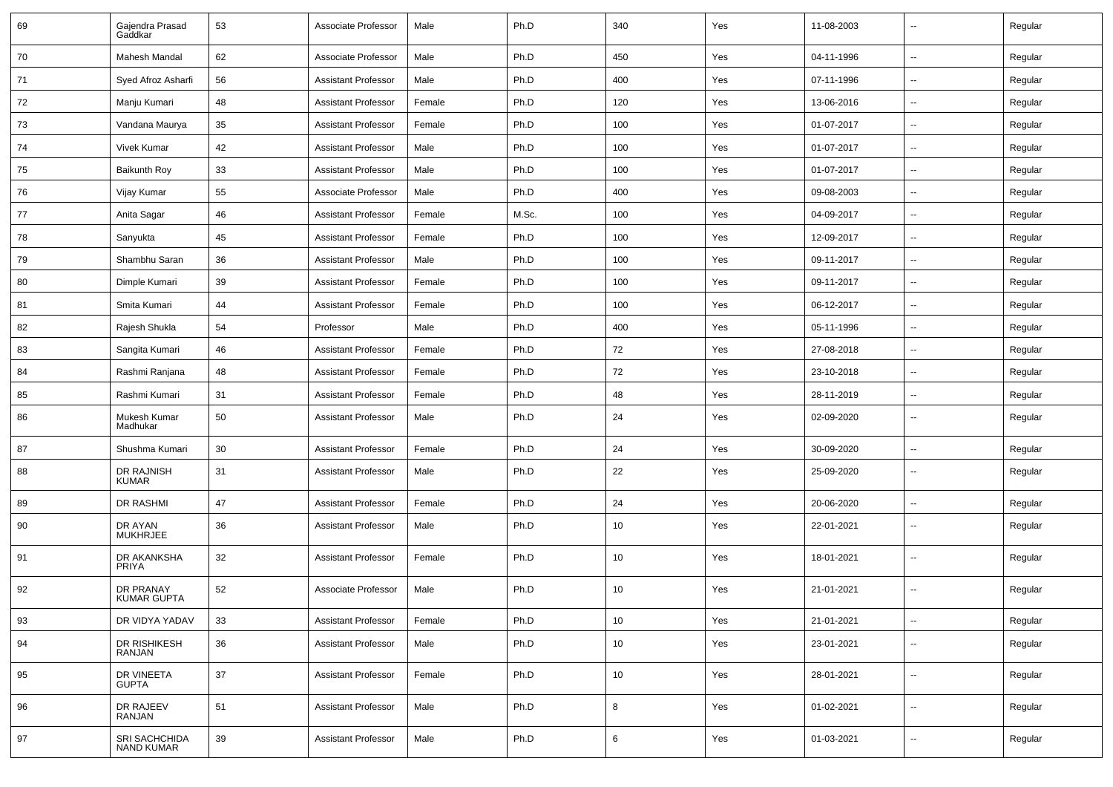| 69 | Gajendra Prasad<br>Gaddkar      | 53 | Associate Professor        | Male   | Ph.D  | 340 | Yes | 11-08-2003 | --                       | Regular |
|----|---------------------------------|----|----------------------------|--------|-------|-----|-----|------------|--------------------------|---------|
| 70 | Mahesh Mandal                   | 62 | Associate Professor        | Male   | Ph.D  | 450 | Yes | 04-11-1996 | ⊷.                       | Regular |
| 71 | Syed Afroz Asharfi              | 56 | <b>Assistant Professor</b> | Male   | Ph.D  | 400 | Yes | 07-11-1996 | -−                       | Regular |
| 72 | Manju Kumari                    | 48 | <b>Assistant Professor</b> | Female | Ph.D  | 120 | Yes | 13-06-2016 | н.                       | Regular |
| 73 | Vandana Maurya                  | 35 | <b>Assistant Professor</b> | Female | Ph.D  | 100 | Yes | 01-07-2017 | $\overline{\phantom{a}}$ | Regular |
| 74 | <b>Vivek Kumar</b>              | 42 | <b>Assistant Professor</b> | Male   | Ph.D  | 100 | Yes | 01-07-2017 |                          | Regular |
| 75 | Baikunth Roy                    | 33 | <b>Assistant Professor</b> | Male   | Ph.D  | 100 | Yes | 01-07-2017 | $\overline{\phantom{a}}$ | Regular |
| 76 | Vijay Kumar                     | 55 | Associate Professor        | Male   | Ph.D  | 400 | Yes | 09-08-2003 | $\overline{\phantom{a}}$ | Regular |
| 77 | Anita Sagar                     | 46 | <b>Assistant Professor</b> | Female | M.Sc. | 100 | Yes | 04-09-2017 | -−                       | Regular |
| 78 | Sanyukta                        | 45 | <b>Assistant Professor</b> | Female | Ph.D  | 100 | Yes | 12-09-2017 | ⊷.                       | Regular |
| 79 | Shambhu Saran                   | 36 | <b>Assistant Professor</b> | Male   | Ph.D  | 100 | Yes | 09-11-2017 | $\overline{\phantom{a}}$ | Regular |
| 80 | Dimple Kumari                   | 39 | <b>Assistant Professor</b> | Female | Ph.D  | 100 | Yes | 09-11-2017 | --                       | Regular |
| 81 | Smita Kumari                    | 44 | <b>Assistant Professor</b> | Female | Ph.D  | 100 | Yes | 06-12-2017 | $\overline{\phantom{a}}$ | Regular |
| 82 | Rajesh Shukla                   | 54 | Professor                  | Male   | Ph.D  | 400 | Yes | 05-11-1996 | $\overline{\phantom{a}}$ | Regular |
| 83 | Sangita Kumari                  | 46 | <b>Assistant Professor</b> | Female | Ph.D  | 72  | Yes | 27-08-2018 | -−                       | Regular |
| 84 | Rashmi Ranjana                  | 48 | <b>Assistant Professor</b> | Female | Ph.D  | 72  | Yes | 23-10-2018 | ⊷.                       | Regular |
| 85 | Rashmi Kumari                   | 31 | <b>Assistant Professor</b> | Female | Ph.D  | 48  | Yes | 28-11-2019 | --                       | Regular |
| 86 | Mukesh Kumar<br>Madhukar        | 50 | <b>Assistant Professor</b> | Male   | Ph.D  | 24  | Yes | 02-09-2020 | --                       | Regular |
| 87 | Shushma Kumari                  | 30 | <b>Assistant Professor</b> | Female | Ph.D  | 24  | Yes | 30-09-2020 | -−                       | Regular |
| 88 | DR RAJNISH<br><b>KUMAR</b>      | 31 | <b>Assistant Professor</b> | Male   | Ph.D  | 22  | Yes | 25-09-2020 | $\mathbf{u}$             | Regular |
| 89 | DR RASHMI                       | 47 | <b>Assistant Professor</b> | Female | Ph.D  | 24  | Yes | 20-06-2020 | $\sim$                   | Regular |
| 90 | DR AYAN<br><b>MUKHRJEE</b>      | 36 | <b>Assistant Professor</b> | Male   | Ph.D  | 10  | Yes | 22-01-2021 | $\overline{\phantom{a}}$ | Regular |
| 91 | DR AKANKSHA<br>PRIYA            | 32 | <b>Assistant Professor</b> | Female | Ph.D  | 10  | Yes | 18-01-2021 | --                       | Regular |
| 92 | DR PRANAY<br><b>KUMAR GUPTA</b> | 52 | Associate Professor        | Male   | Ph.D  | 10  | Yes | 21-01-2021 | $\overline{\phantom{a}}$ | Regular |
| 93 | DR VIDYA YADAV                  | 33 | <b>Assistant Professor</b> | Female | Ph.D  | 10  | Yes | 21-01-2021 | Щ,                       | Regular |
| 94 | DR RISHIKESH<br>RANJAN          | 36 | <b>Assistant Professor</b> | Male   | Ph.D  | 10  | Yes | 23-01-2021 | $\overline{\phantom{a}}$ | Regular |
| 95 | DR VINEETA<br><b>GUPTA</b>      | 37 | <b>Assistant Professor</b> | Female | Ph.D  | 10  | Yes | 28-01-2021 | $\overline{\phantom{a}}$ | Regular |
| 96 | DR RAJEEV<br>RANJAN             | 51 | <b>Assistant Professor</b> | Male   | Ph.D  | 8   | Yes | 01-02-2021 | $\overline{\phantom{a}}$ | Regular |
| 97 | SRI SACHCHIDA<br>NAND KUMAR     | 39 | <b>Assistant Professor</b> | Male   | Ph.D  | 6   | Yes | 01-03-2021 | −−                       | Regular |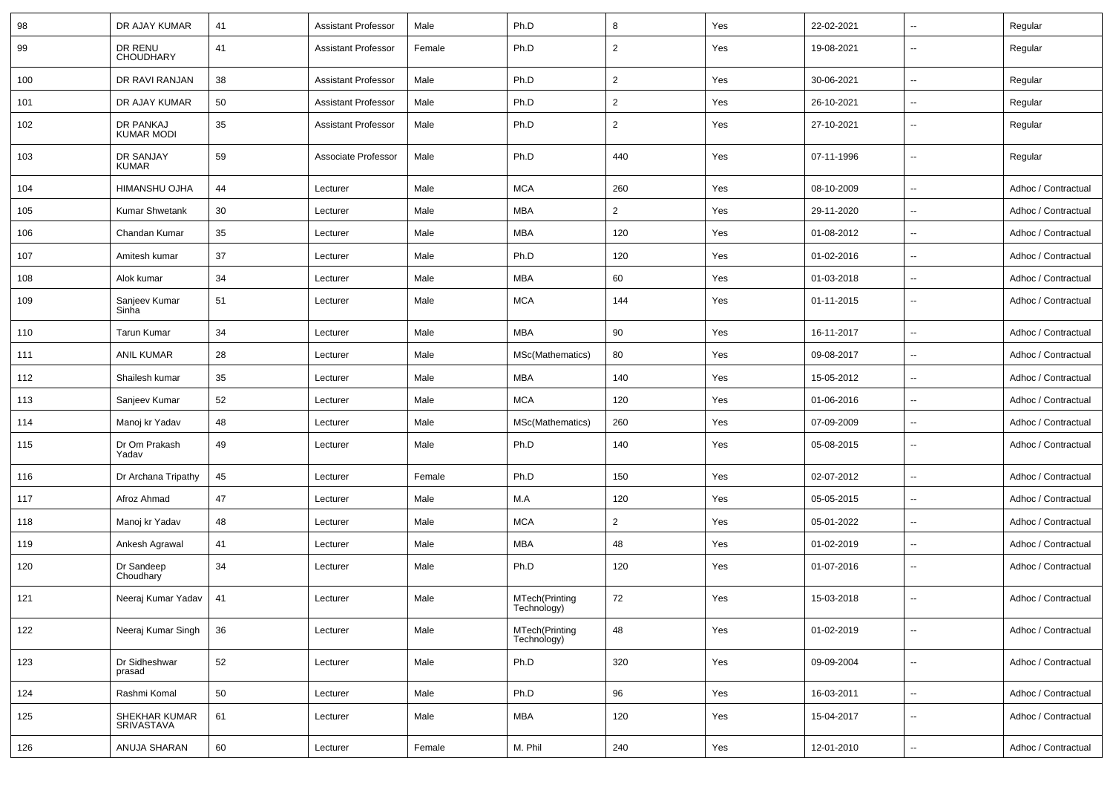| 98  | DR AJAY KUMAR               | 41 | <b>Assistant Professor</b> | Male   | Ph.D                                  | 8              | Yes | 22-02-2021 | --                       | Regular             |
|-----|-----------------------------|----|----------------------------|--------|---------------------------------------|----------------|-----|------------|--------------------------|---------------------|
| 99  | DR RENU<br><b>CHOUDHARY</b> | 41 | <b>Assistant Professor</b> | Female | Ph.D                                  | $\overline{2}$ | Yes | 19-08-2021 | $\overline{\phantom{a}}$ | Regular             |
| 100 | DR RAVI RANJAN              | 38 | <b>Assistant Professor</b> | Male   | Ph.D                                  | $\overline{2}$ | Yes | 30-06-2021 | $\overline{\phantom{a}}$ | Regular             |
| 101 | DR AJAY KUMAR               | 50 | <b>Assistant Professor</b> | Male   | Ph.D                                  | $\overline{2}$ | Yes | 26-10-2021 | $\overline{\phantom{a}}$ | Regular             |
| 102 | DR PANKAJ<br>KUMAR MODI     | 35 | <b>Assistant Professor</b> | Male   | Ph.D                                  | 2              | Yes | 27-10-2021 | --                       | Regular             |
| 103 | DR SANJAY<br><b>KUMAR</b>   | 59 | Associate Professor        | Male   | Ph.D                                  | 440            | Yes | 07-11-1996 | --                       | Regular             |
| 104 | HIMANSHU OJHA               | 44 | Lecturer                   | Male   | <b>MCA</b>                            | 260            | Yes | 08-10-2009 | --                       | Adhoc / Contractual |
| 105 | <b>Kumar Shwetank</b>       | 30 | Lecturer                   | Male   | <b>MBA</b>                            | $\overline{2}$ | Yes | 29-11-2020 | $\overline{\phantom{a}}$ | Adhoc / Contractual |
| 106 | Chandan Kumar               | 35 | Lecturer                   | Male   | MBA                                   | 120            | Yes | 01-08-2012 | $\overline{\phantom{a}}$ | Adhoc / Contractual |
| 107 | Amitesh kumar               | 37 | Lecturer                   | Male   | Ph.D                                  | 120            | Yes | 01-02-2016 | --                       | Adhoc / Contractual |
| 108 | Alok kumar                  | 34 | Lecturer                   | Male   | <b>MBA</b>                            | 60             | Yes | 01-03-2018 | --                       | Adhoc / Contractual |
| 109 | Sanjeev Kumar<br>Sinha      | 51 | Lecturer                   | Male   | <b>MCA</b>                            | 144            | Yes | 01-11-2015 | $\overline{\phantom{a}}$ | Adhoc / Contractual |
| 110 | <b>Tarun Kumar</b>          | 34 | Lecturer                   | Male   | <b>MBA</b>                            | 90             | Yes | 16-11-2017 | $\overline{\phantom{a}}$ | Adhoc / Contractual |
| 111 | <b>ANIL KUMAR</b>           | 28 | Lecturer                   | Male   | MSc(Mathematics)                      | 80             | Yes | 09-08-2017 | --                       | Adhoc / Contractual |
| 112 | Shailesh kumar              | 35 | Lecturer                   | Male   | <b>MBA</b>                            | 140            | Yes | 15-05-2012 | $\overline{\phantom{a}}$ | Adhoc / Contractual |
| 113 | Sanjeev Kumar               | 52 | Lecturer                   | Male   | <b>MCA</b>                            | 120            | Yes | 01-06-2016 | $\overline{\phantom{a}}$ | Adhoc / Contractual |
| 114 | Manoj kr Yadav              | 48 | Lecturer                   | Male   | MSc(Mathematics)                      | 260            | Yes | 07-09-2009 | ۰.                       | Adhoc / Contractual |
| 115 | Dr Om Prakash<br>Yadav      | 49 | Lecturer                   | Male   | Ph.D                                  | 140            | Yes | 05-08-2015 | --                       | Adhoc / Contractual |
| 116 | Dr Archana Tripathy         | 45 | Lecturer                   | Female | Ph.D                                  | 150            | Yes | 02-07-2012 | $\overline{\phantom{a}}$ | Adhoc / Contractual |
| 117 | Afroz Ahmad                 | 47 | Lecturer                   | Male   | M.A                                   | 120            | Yes | 05-05-2015 | $\overline{a}$           | Adhoc / Contractual |
| 118 | Manoj kr Yadav              | 48 | Lecturer                   | Male   | <b>MCA</b>                            | $\overline{2}$ | Yes | 05-01-2022 | --                       | Adhoc / Contractual |
| 119 | Ankesh Agrawal              | 41 | Lecturer                   | Male   | <b>MBA</b>                            | 48             | Yes | 01-02-2019 | $\overline{\phantom{a}}$ | Adhoc / Contractual |
| 120 | Dr Sandeep<br>Choudhary     | 34 | Lecturer                   | Male   | Ph.D                                  | 120            | Yes | 01-07-2016 | $\overline{a}$           | Adhoc / Contractual |
| 121 | Neeraj Kumar Yadav          | 41 | Lecturer                   | Male   | MTech(Printing<br><b>Lecrifiology</b> | 72             | Yes | 15-03-2018 | $\overline{\phantom{a}}$ | Adhoc / Contractual |
| 122 | Neeraj Kumar Singh          | 36 | Lecturer                   | Male   | MTech(Printing<br>Technology)         | 48             | Yes | 01-02-2019 | $\overline{\phantom{a}}$ | Adhoc / Contractual |
| 123 | Dr Sidheshwar<br>prasad     | 52 | Lecturer                   | Male   | Ph.D                                  | 320            | Yes | 09-09-2004 | Щ,                       | Adhoc / Contractual |
| 124 | Rashmi Komal                | 50 | Lecturer                   | Male   | Ph.D                                  | 96             | Yes | 16-03-2011 | Щ,                       | Adhoc / Contractual |
| 125 | SHEKHAR KUMAR<br>SRIVASTAVA | 61 | Lecturer                   | Male   | <b>MBA</b>                            | 120            | Yes | 15-04-2017 | Ξ.                       | Adhoc / Contractual |
| 126 | ANUJA SHARAN                | 60 | Lecturer                   | Female | M. Phil                               | 240            | Yes | 12-01-2010 | $\sim$                   | Adhoc / Contractual |